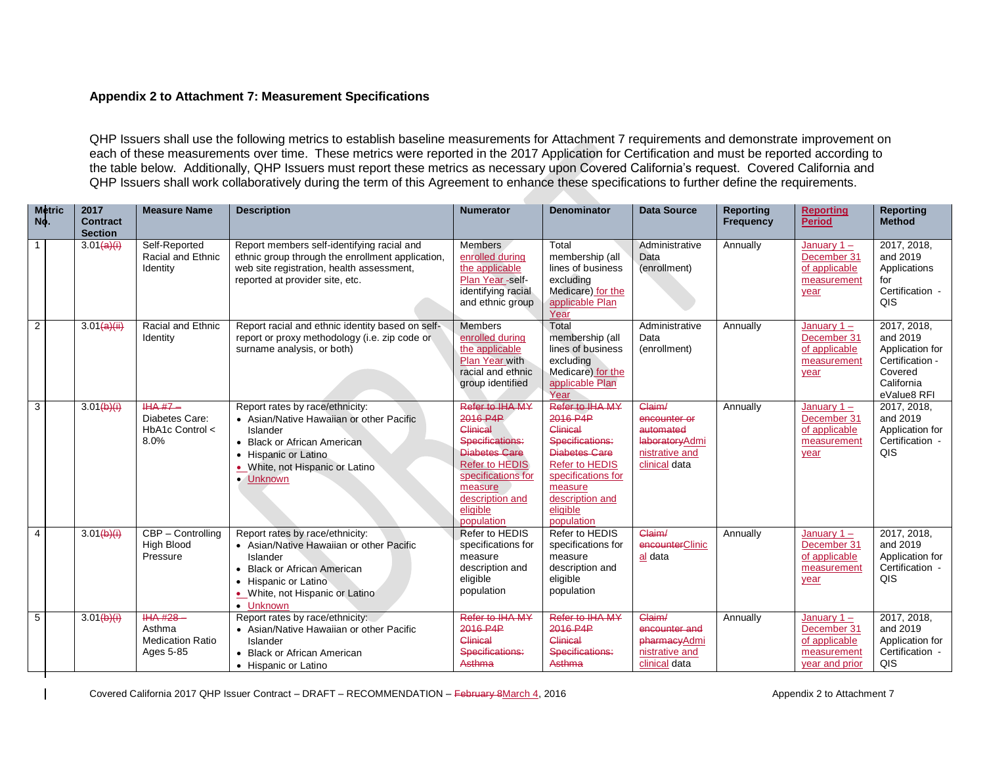## **Appendix 2 to Attachment 7: Measurement Specifications**

QHP Issuers shall use the following metrics to establish baseline measurements for Attachment 7 requirements and demonstrate improvement on each of these measurements over time. These metrics were reported in the 2017 Application for Certification and must be reported according to the table below. Additionally, QHP Issuers must report these metrics as necessary upon Covered California's request. Covered California and QHP Issuers shall work collaboratively during the term of this Agreement to enhance these specifications to further define the requirements.

| <b>Metric</b><br>No. | 2017<br><b>Contract</b><br><b>Section</b> | <b>Measure Name</b>                                           | <b>Description</b>                                                                                                                                                                             | <b>Numerator</b>                                                                                                                                                                   | <b>Denominator</b>                                                                                                                                                                        | <b>Data Source</b>                                                                       | <b>Reporting</b><br><b>Frequency</b> | <b>Reporting</b><br><b>Period</b>                                              | <b>Reporting</b><br><b>Method</b>                                                                     |
|----------------------|-------------------------------------------|---------------------------------------------------------------|------------------------------------------------------------------------------------------------------------------------------------------------------------------------------------------------|------------------------------------------------------------------------------------------------------------------------------------------------------------------------------------|-------------------------------------------------------------------------------------------------------------------------------------------------------------------------------------------|------------------------------------------------------------------------------------------|--------------------------------------|--------------------------------------------------------------------------------|-------------------------------------------------------------------------------------------------------|
| $\mathbf{1}$         | 3.01(a)(i)                                | Self-Reported<br>Racial and Ethnic<br>Identity                | Report members self-identifying racial and<br>ethnic group through the enrollment application,<br>web site registration, health assessment,<br>reported at provider site, etc.                 | <b>Members</b><br>enrolled during<br>the applicable<br>Plan Year -self-<br>identifying racial<br>and ethnic group                                                                  | Total<br>membership (all<br>lines of business<br>excluding<br>Medicare) for the<br>applicable Plan<br>Year                                                                                | Administrative<br>Data<br>(enrollment)                                                   | Annually                             | January $1 -$<br>December 31<br>of applicable<br>measurement<br>year           | 2017, 2018,<br>and 2019<br>Applications<br>for<br>Certification -<br>QIS                              |
| $\overline{2}$       | 3.01(a)(ii)                               | Racial and Ethnic<br>Identity                                 | Report racial and ethnic identity based on self-<br>report or proxy methodology (i.e. zip code or<br>surname analysis, or both)                                                                | <b>Members</b><br>enrolled during<br>the applicable<br>Plan Year with<br>racial and ethnic<br>group identified                                                                     | Total<br>membership (all<br>lines of business<br>excluding<br>Medicare) for the<br>applicable Plan<br>Year                                                                                | Administrative<br>Data<br>(enrollment)                                                   | Annually                             | January $1 -$<br>December 31<br>of applicable<br>measurement<br>year           | 2017, 2018,<br>and 2019<br>Application for<br>Certification -<br>Covered<br>California<br>eValue8 RFI |
| $\overline{3}$       | 3.01(b)(i)                                | $HA$ #7 $-$<br>Diabetes Care:<br>HbA1c Control <<br>8.0%      | Report rates by race/ethnicity:<br>• Asian/Native Hawaiian or other Pacific<br>Islander<br>• Black or African American<br>• Hispanic or Latino<br>. White, not Hispanic or Latino<br>• Unknown | Refer to IHA MY<br>2016 P4P<br>Clinical<br>Specifications:<br><b>Diabetes Care</b><br>Refer to HEDIS<br>specifications for<br>measure<br>description and<br>eligible<br>population | Refer to IHA MY<br>2016 P4P<br>Clinical<br>Specifications:<br><b>Diabetes Care</b><br><b>Refer to HEDIS</b><br>specifications for<br>measure<br>description and<br>eligible<br>population | Claim/<br>encounter or<br>automated<br>laboratoryAdmi<br>nistrative and<br>clinical data | Annually                             | January $1 -$<br>December 31<br>of applicable<br>measurement<br>year           | 2017, 2018,<br>and 2019<br>Application for<br>Certification -<br>QIS                                  |
| $\overline{4}$       | 3.01(b)(i)                                | CBP - Controlling<br><b>High Blood</b><br>Pressure            | Report rates by race/ethnicity:<br>• Asian/Native Hawaiian or other Pacific<br>Islander<br>• Black or African American<br>• Hispanic or Latino<br>. White, not Hispanic or Latino<br>• Unknown | Refer to HEDIS<br>specifications for<br>measure<br>description and<br>eligible<br>population                                                                                       | Refer to HEDIS<br>specifications for<br>measure<br>description and<br>eligible<br>population                                                                                              | Claim/<br>encounterClinic<br>al data                                                     | Annually                             | January $1 -$<br>December 31<br>of applicable<br>measurement<br>year           | 2017, 2018,<br>and 2019<br>Application for<br>Certification -<br>QIS                                  |
| 5                    | 3.01(b)(i)                                | $HAA H28 -$<br>Asthma<br><b>Medication Ratio</b><br>Ages 5-85 | Report rates by race/ethnicity:<br>• Asian/Native Hawaiian or other Pacific<br>Islander<br>• Black or African American<br>• Hispanic or Latino                                                 | Refer to IHA MY<br>2016 P4P<br>Clinical<br>Specifications:<br>Asthma                                                                                                               | Refer to IHA MY<br>2016 P4P<br>Clinical<br>Specifications:<br>Asthma                                                                                                                      | Claim/<br>encounter and<br>pharmacyAdmi<br>nistrative and<br>clinical data               | Annually                             | January $1 -$<br>December 31<br>of applicable<br>measurement<br>vear and prior | 2017, 2018,<br>and 2019<br>Application for<br>Certification -<br>QIS                                  |

Covered California 2017 QHP Issuer Contract – DRAFT – RECOMMENDATION – February 8March 4, 2016 Appendix 2 to Attachment 7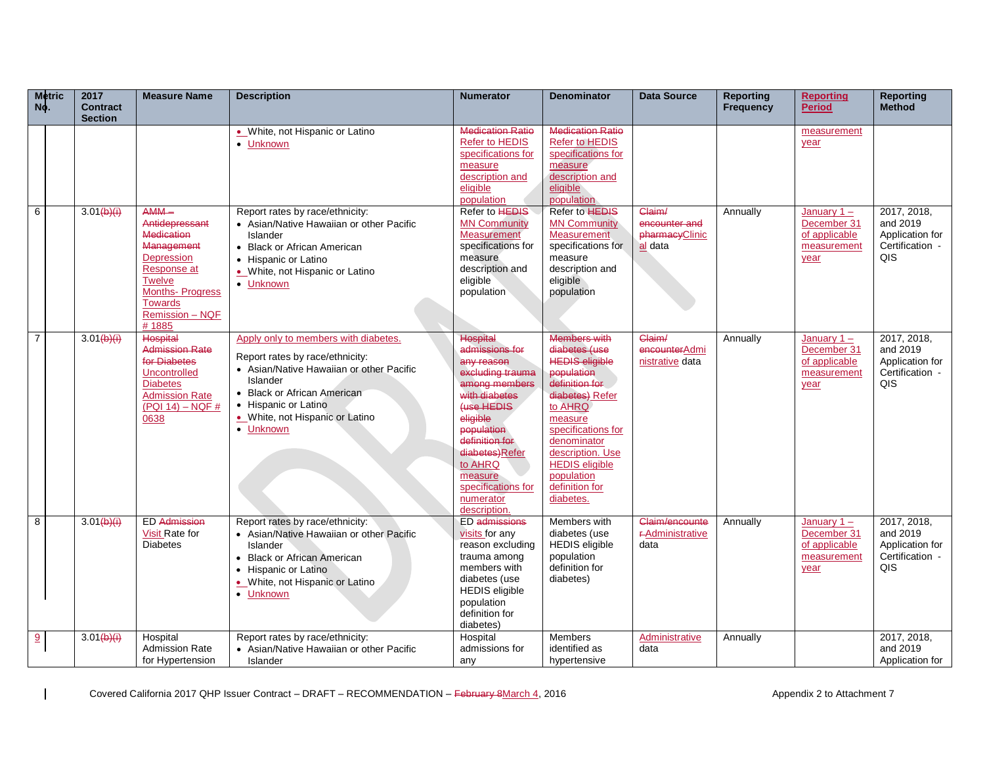| <b>Metric</b><br>No. | 2017<br><b>Contract</b><br><b>Section</b> | <b>Measure Name</b>                                                                                                                                                                 | <b>Description</b>                                                                                                                                                                                                                     | <b>Numerator</b>                                                                                                                                                                                                                                           | <b>Denominator</b>                                                                                                                                                                                                                                                    | Data Source                                          | Reporting<br>Frequency | <b>Reporting</b><br><b>Period</b>                                    | <b>Reporting</b><br><b>Method</b>                                    |
|----------------------|-------------------------------------------|-------------------------------------------------------------------------------------------------------------------------------------------------------------------------------------|----------------------------------------------------------------------------------------------------------------------------------------------------------------------------------------------------------------------------------------|------------------------------------------------------------------------------------------------------------------------------------------------------------------------------------------------------------------------------------------------------------|-----------------------------------------------------------------------------------------------------------------------------------------------------------------------------------------------------------------------------------------------------------------------|------------------------------------------------------|------------------------|----------------------------------------------------------------------|----------------------------------------------------------------------|
|                      |                                           |                                                                                                                                                                                     | • White, not Hispanic or Latino<br>• Unknown                                                                                                                                                                                           | <b>Medication Ratio</b><br>Refer to HEDIS<br>specifications for<br>measure<br>description and<br>eligible<br>population                                                                                                                                    | <b>Medication Ratio</b><br><b>Refer to HEDIS</b><br>specifications for<br>measure<br>description and<br>eligible<br>population                                                                                                                                        |                                                      |                        | measurement<br>year                                                  |                                                                      |
| 6                    | 3.01(b)(i)                                | $AMM -$<br>Antidepressant<br><b>Medication</b><br>Management<br>Depression<br>Response at<br><b>Twelve</b><br><b>Months-Progress</b><br><b>Towards</b><br>Remission - NQF<br># 1885 | Report rates by race/ethnicity:<br>• Asian/Native Hawaiian or other Pacific<br>Islander<br>• Black or African American<br>• Hispanic or Latino<br>. White, not Hispanic or Latino<br>• Unknown                                         | Refer to <b>HEDIS</b><br><b>MN Community</b><br>Measurement<br>specifications for<br>measure<br>description and<br>eligible<br>population                                                                                                                  | Refer to <b>HEDIS</b><br><b>MN Community</b><br><b>Measurement</b><br>specifications for<br>measure<br>description and<br>eligible<br>population                                                                                                                      | Claim/<br>encounter and<br>pharmacyClinic<br>al data | Annually               | January $1 -$<br>December 31<br>of applicable<br>measurement<br>year | 2017, 2018,<br>and 2019<br>Application for<br>Certification -<br>QIS |
| $\overline{7}$       | 3.01(b)(i)                                | <b>Hospital</b><br><b>Admission Rate</b><br>for Diabetes<br><b>Uncontrolled</b><br><b>Diabetes</b><br><b>Admission Rate</b><br>$($ PQI 14) – NQF #<br>0638                          | Apply only to members with diabetes.<br>Report rates by race/ethnicity:<br>• Asian/Native Hawaiian or other Pacific<br>Islander<br>• Black or African American<br>• Hispanic or Latino<br>. White, not Hispanic or Latino<br>• Unknown | <b>Hospital</b><br>admissions for<br>any reason<br>excluding trauma<br>among members<br>with diabetes<br>fuse HEDIS<br>eligible<br>population<br>definition for<br>diabetes)Refer<br>to AHRQ<br>measure<br>specifications for<br>numerator<br>description. | <b>Members with</b><br>diabetes (use<br><b>HEDIS eligible</b><br>population<br>definition for<br>diabetes) Refer<br>to AHRQ<br>measure<br>specifications for<br>denominator<br>description. Use<br><b>HEDIS</b> eligible<br>population<br>definition for<br>diabetes. | Claim/<br>encounterAdmi<br>nistrative data           | Annually               | January $1 -$<br>December 31<br>of applicable<br>measurement<br>year | 2017, 2018,<br>and 2019<br>Application for<br>Certification -<br>QIS |
| 8                    | 3.01(b)(i)                                | <b>ED Admission</b><br>Visit Rate for<br><b>Diabetes</b>                                                                                                                            | Report rates by race/ethnicity:<br>• Asian/Native Hawaiian or other Pacific<br>Islander<br>• Black or African American<br>• Hispanic or Latino<br>. White, not Hispanic or Latino<br>• Unknown                                         | <b>ED</b> admissions<br>visits for any<br>reason excluding<br>trauma among<br>members with<br>diabetes (use<br><b>HEDIS</b> eligible<br>population<br>definition for<br>diabetes)                                                                          | Members with<br>diabetes (use<br><b>HEDIS</b> eligible<br>population<br>definition for<br>diabetes)                                                                                                                                                                   | Claim/encounte<br><b>F-Administrative</b><br>data    | Annually               | January $1 -$<br>December 31<br>of applicable<br>measurement<br>year | 2017, 2018,<br>and 2019<br>Application for<br>Certification -<br>QIS |
| 9                    | 3.01(b)(i)                                | Hospital<br><b>Admission Rate</b><br>for Hypertension                                                                                                                               | Report rates by race/ethnicity:<br>• Asian/Native Hawaiian or other Pacific<br>Islander                                                                                                                                                | Hospital<br>admissions for<br>any                                                                                                                                                                                                                          | <b>Members</b><br>identified as<br>hypertensive                                                                                                                                                                                                                       | Administrative<br>data                               | Annually               |                                                                      | 2017, 2018,<br>and 2019<br>Application for                           |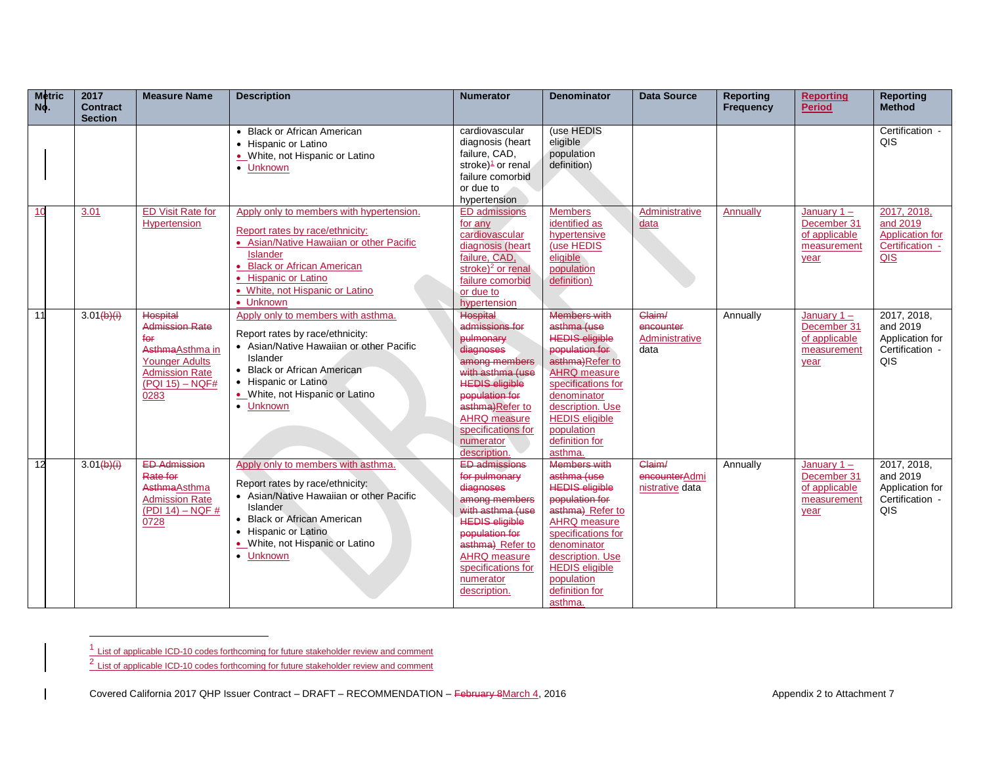| <b>Metric</b><br>No. | 2017<br><b>Contract</b><br><b>Section</b> | <b>Measure Name</b>      | <b>Description</b>                       | <b>Numerator</b>                        | <b>Denominator</b>                        | <b>Data Source</b> | <b>Reporting</b><br><b>Frequency</b> | <b>Reporting</b><br><b>Period</b> | <b>Reporting</b><br><b>Method</b> |
|----------------------|-------------------------------------------|--------------------------|------------------------------------------|-----------------------------------------|-------------------------------------------|--------------------|--------------------------------------|-----------------------------------|-----------------------------------|
|                      |                                           |                          | • Black or African American              | cardiovascular                          | (use HEDIS                                |                    |                                      |                                   | Certification -                   |
|                      |                                           |                          | • Hispanic or Latino                     | diagnosis (heart                        | eligible                                  |                    |                                      |                                   | QIS                               |
|                      |                                           |                          | • White, not Hispanic or Latino          | failure, CAD,                           | population                                |                    |                                      |                                   |                                   |
|                      |                                           |                          | • Unknown                                | stroke) $\frac{1}{2}$ or renal          | definition)                               |                    |                                      |                                   |                                   |
|                      |                                           |                          |                                          | failure comorbid                        |                                           |                    |                                      |                                   |                                   |
|                      |                                           |                          |                                          | or due to                               |                                           |                    |                                      |                                   |                                   |
|                      |                                           |                          |                                          | hypertension                            |                                           |                    |                                      |                                   |                                   |
| 10                   | 3.01                                      | <b>ED Visit Rate for</b> | Apply only to members with hypertension. | <b>ED</b> admissions                    | <b>Members</b>                            | Administrative     | Annually                             | January $1 -$                     | 2017, 2018,                       |
|                      |                                           | Hypertension             | Report rates by race/ethnicity:          | for any                                 | identified as                             | data               |                                      | December 31                       | and 2019                          |
|                      |                                           |                          | • Asian/Native Hawaiian or other Pacific | cardiovascular                          | hypertensive                              |                    |                                      | of applicable                     | <b>Application for</b>            |
|                      |                                           |                          | <b>Islander</b>                          | diagnosis (heart                        | (use HEDIS                                |                    |                                      | measurement                       | Certification -                   |
|                      |                                           |                          | • Black or African American              | failure, CAD,                           | eligible                                  |                    |                                      | year                              | QIS                               |
|                      |                                           |                          | • Hispanic or Latino                     | stroke) <sup>2</sup> or renal           | population                                |                    |                                      |                                   |                                   |
|                      |                                           |                          | . White, not Hispanic or Latino          | failure comorbid                        | definition)                               |                    |                                      |                                   |                                   |
|                      |                                           |                          | • Unknown                                | or due to<br>hypertension               |                                           |                    |                                      |                                   |                                   |
| 11                   | 3.01(b)(i)                                | <b>Hospital</b>          | Apply only to members with asthma.       | <b>Hospital</b>                         | <b>Members with</b>                       | Claim/             | Annually                             | January $1 -$                     | 2017, 2018,                       |
|                      |                                           | <b>Admission Rate</b>    |                                          | admissions for                          | asthma (use                               | encounter          |                                      | December 31                       | and 2019                          |
|                      |                                           | for                      | Report rates by race/ethnicity:          | pulmonary                               | <b>HEDIS eligible</b>                     | Administrative     |                                      | of applicable                     | Application for                   |
|                      |                                           | AsthmaAsthma in          | • Asian/Native Hawaiian or other Pacific | diagnoses                               | population for                            | data               |                                      | measurement                       | Certification -                   |
|                      |                                           | <b>Younger Adults</b>    | Islander                                 | among members                           | asthma)Refer to                           |                    |                                      | year                              | QIS                               |
|                      |                                           | <b>Admission Rate</b>    | • Black or African American              | with asthma (use                        | <b>AHRQ</b> measure                       |                    |                                      |                                   |                                   |
|                      |                                           | $($ PQI 15) – NQF#       | • Hispanic or Latino                     | <b>HEDIS eligible</b>                   | specifications for                        |                    |                                      |                                   |                                   |
|                      |                                           | 0283                     | . White, not Hispanic or Latino          | population for                          | denominator                               |                    |                                      |                                   |                                   |
|                      |                                           |                          | • Unknown                                | asthma)Refer to                         | description. Use                          |                    |                                      |                                   |                                   |
|                      |                                           |                          |                                          | AHRQ measure                            | <b>HEDIS</b> eligible                     |                    |                                      |                                   |                                   |
|                      |                                           |                          |                                          | specifications for                      | population                                |                    |                                      |                                   |                                   |
|                      |                                           |                          |                                          | numerator                               | definition for                            |                    |                                      |                                   |                                   |
|                      |                                           |                          |                                          | description.                            | asthma.                                   |                    |                                      |                                   |                                   |
| 12                   | 3.01(b)(i)                                | <b>ED Admission</b>      | Apply only to members with asthma.       | <b>ED admissions</b>                    | <b>Members with</b>                       | Claim/             | Annually                             | January $1 -$                     | 2017, 2018,                       |
|                      |                                           | Rate for                 | Report rates by race/ethnicity:          | for pulmonary                           | asthma (use                               | encounterAdmi      |                                      | December 31                       | and 2019                          |
|                      |                                           | AsthmaAsthma             | • Asian/Native Hawaiian or other Pacific | diagnoses                               | <b>HEDIS eligible</b>                     | nistrative data    |                                      | of applicable                     | Application for                   |
|                      |                                           | <b>Admission Rate</b>    | Islander                                 | among members                           | population for                            |                    |                                      | measurement                       | Certification -                   |
|                      |                                           | $(PDI 14) - NQF \#$      | • Black or African American              | with asthma (use                        | asthma) Refer to                          |                    |                                      | year                              | QIS                               |
|                      |                                           | 0728                     | • Hispanic or Latino                     | <b>HEDIS eligible</b><br>population for | <b>AHRQ</b> measure<br>specifications for |                    |                                      |                                   |                                   |
|                      |                                           |                          | • White, not Hispanic or Latino          | asthma) Refer to                        | denominator                               |                    |                                      |                                   |                                   |
|                      |                                           |                          | • Unknown                                | AHRQ measure                            | description. Use                          |                    |                                      |                                   |                                   |
|                      |                                           |                          |                                          | specifications for                      | <b>HEDIS</b> eligible                     |                    |                                      |                                   |                                   |
|                      |                                           |                          |                                          | numerator                               | population                                |                    |                                      |                                   |                                   |
|                      |                                           |                          |                                          | description.                            | definition for                            |                    |                                      |                                   |                                   |
|                      |                                           |                          |                                          |                                         | asthma.                                   |                    |                                      |                                   |                                   |

 $\frac{1}{1}$  List of applicable ICD-10 codes forthcoming for future stakeholder review and comment<br> $\frac{2}{1}$  List of applicable ICD-10 codes forthcoming for future stakeholder review and comment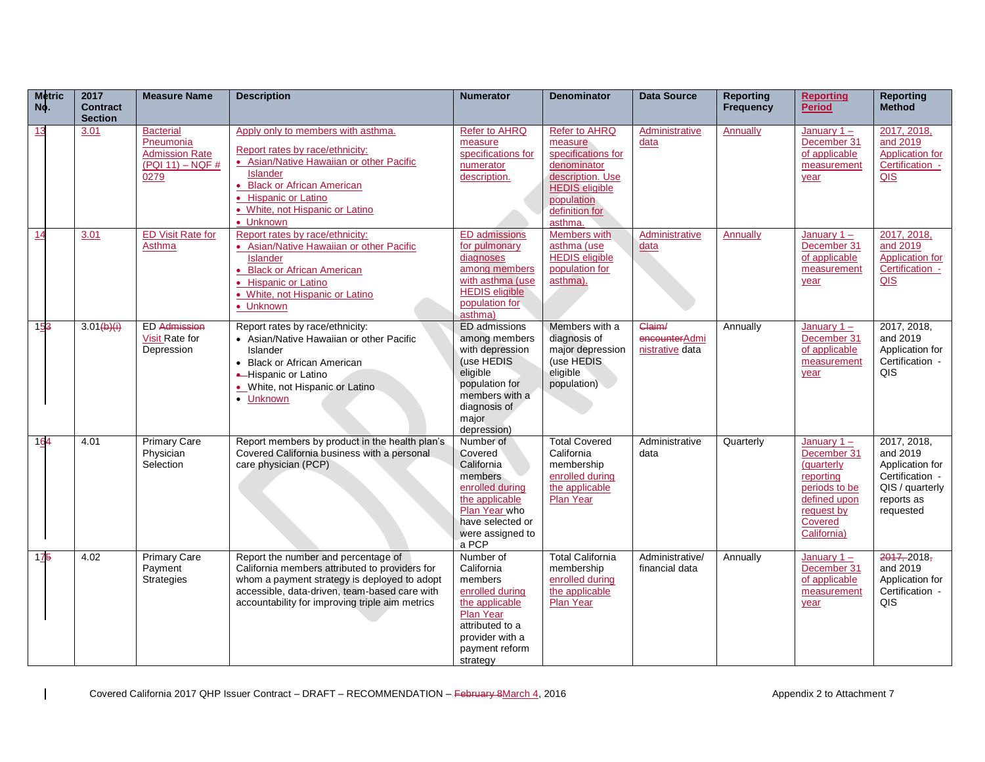| <b>Metric</b><br>No. | 2017<br><b>Contract</b><br><b>Section</b> | <b>Measure Name</b>                                                                  | <b>Description</b>                                                                                                                                                                                                                          | <b>Numerator</b>                                                                                                                                                | <b>Denominator</b>                                                                                                                                    | <b>Data Source</b>                         | <b>Reporting</b><br><b>Frequency</b> | <b>Reporting</b><br><b>Period</b>                                                                                                | <b>Reporting</b><br><b>Method</b>                                                                           |
|----------------------|-------------------------------------------|--------------------------------------------------------------------------------------|---------------------------------------------------------------------------------------------------------------------------------------------------------------------------------------------------------------------------------------------|-----------------------------------------------------------------------------------------------------------------------------------------------------------------|-------------------------------------------------------------------------------------------------------------------------------------------------------|--------------------------------------------|--------------------------------------|----------------------------------------------------------------------------------------------------------------------------------|-------------------------------------------------------------------------------------------------------------|
| 13                   | 3.01                                      | <b>Bacterial</b><br>Pneumonia<br><b>Admission Rate</b><br>$(PQI 11) - NQF #$<br>0279 | Apply only to members with asthma.<br>Report rates by race/ethnicity:<br>• Asian/Native Hawaiian or other Pacific<br><b>Islander</b><br>• Black or African American<br>• Hispanic or Latino<br>• White, not Hispanic or Latino<br>• Unknown | <b>Refer to AHRQ</b><br>measure<br>specifications for<br>numerator<br>description.                                                                              | Refer to AHRQ<br>measure<br>specifications for<br>denominator<br>description. Use<br><b>HEDIS</b> eligible<br>population<br>definition for<br>asthma. | Administrative<br>data                     | Annually                             | January $1 -$<br>December 31<br>of applicable<br>measurement<br>year                                                             | 2017, 2018,<br>and 2019<br><b>Application</b> for<br>Certification -<br>QIS                                 |
| 14                   | 3.01                                      | <b>ED Visit Rate for</b><br>Asthma                                                   | Report rates by race/ethnicity:<br>• Asian/Native Hawaiian or other Pacific<br><b>Islander</b><br>• Black or African American<br>• Hispanic or Latino<br>. White, not Hispanic or Latino<br>• Unknown                                       | <b>ED</b> admissions<br>for pulmonary<br>diagnoses<br>among members<br>with asthma (use<br><b>HEDIS</b> eligible<br>population for<br>asthma)                   | <b>Members with</b><br>asthma (use<br><b>HEDIS</b> eligible<br>population for<br>asthma).                                                             | Administrative<br>data                     | Annually                             | January $1 -$<br>December 31<br>of applicable<br>measurement<br>year                                                             | 2017, 2018,<br>and 2019<br>Application for<br>Certification -<br>QIS                                        |
| 153                  | 3.01(b)(i)                                | <b>ED</b> Admission<br>Visit Rate for<br>Depression                                  | Report rates by race/ethnicity:<br>• Asian/Native Hawaiian or other Pacific<br>Islander<br>• Black or African American<br>-Hispanic or Latino<br>• White, not Hispanic or Latino<br>• Unknown                                               | ED admissions<br>among members<br>with depression<br>(use HEDIS<br>eligible<br>population for<br>members with a<br>diagnosis of<br>major<br>depression)         | Members with a<br>diagnosis of<br>major depression<br>(use HEDIS<br>eligible<br>population)                                                           | Claim/<br>encounterAdmi<br>nistrative data | Annually                             | January $1 -$<br>December 31<br>of applicable<br>measurement<br>year                                                             | 2017, 2018,<br>and 2019<br>Application for<br>Certification -<br>QIS.                                       |
| 164                  | 4.01                                      | <b>Primary Care</b><br>Physician<br>Selection                                        | Report members by product in the health plan's<br>Covered California business with a personal<br>care physician (PCP)                                                                                                                       | Number of<br>Covered<br>California<br>members<br>enrolled during<br>the applicable<br>Plan Year who<br>have selected or<br>were assigned to<br>a PCP            | <b>Total Covered</b><br>California<br>membership<br>enrolled during<br>the applicable<br>Plan Year                                                    | Administrative<br>data                     | Quarterly                            | January $1 -$<br>December 31<br>(quarterly<br>reporting<br>periods to be<br>defined upon<br>request by<br>Covered<br>California) | 2017, 2018,<br>and 2019<br>Application for<br>Certification -<br>QIS / quarterly<br>reports as<br>requested |
| 175                  | 4.02                                      | <b>Primary Care</b><br>Payment<br><b>Strategies</b>                                  | Report the number and percentage of<br>California members attributed to providers for<br>whom a payment strategy is deployed to adopt<br>accessible, data-driven, team-based care with<br>accountability for improving triple aim metrics   | Number of<br>California<br>members<br>enrolled during<br>the applicable<br><b>Plan Year</b><br>attributed to a<br>provider with a<br>payment reform<br>strategy | <b>Total California</b><br>membership<br>enrolled during<br>the applicable<br>Plan Year                                                               | Administrative/<br>financial data          | Annually                             | January $1 -$<br>December 31<br>of applicable<br>measurement<br>year                                                             | 2017, 2018<br>and 2019<br>Application for<br>Certification -<br>QIS                                         |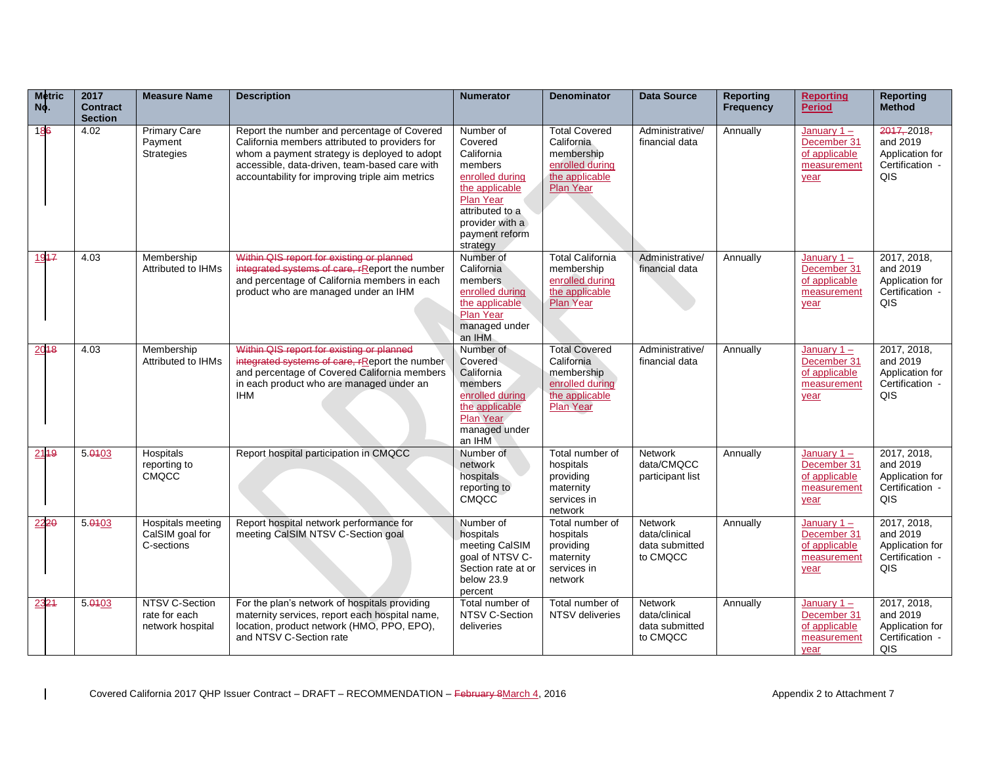| <b>Metric</b><br>No. | 2017<br><b>Contract</b><br><b>Section</b> | <b>Measure Name</b>                                 | <b>Description</b>                                                                                                                                                                                                                                | <b>Numerator</b>                                                                                                                                                    | <b>Denominator</b>                                                                                        | <b>Data Source</b>                                     | <b>Reporting</b><br><b>Frequency</b> | <b>Reporting</b><br><b>Period</b>                                    | <b>Reporting</b><br><b>Method</b>                                           |
|----------------------|-------------------------------------------|-----------------------------------------------------|---------------------------------------------------------------------------------------------------------------------------------------------------------------------------------------------------------------------------------------------------|---------------------------------------------------------------------------------------------------------------------------------------------------------------------|-----------------------------------------------------------------------------------------------------------|--------------------------------------------------------|--------------------------------------|----------------------------------------------------------------------|-----------------------------------------------------------------------------|
| 186                  | 4.02                                      | <b>Primary Care</b><br>Payment<br><b>Strategies</b> | Report the number and percentage of Covered<br>California members attributed to providers for<br>whom a payment strategy is deployed to adopt<br>accessible, data-driven, team-based care with<br>accountability for improving triple aim metrics | Number of<br>Covered<br>California<br>members<br>enrolled during<br>the applicable<br>Plan Year<br>attributed to a<br>provider with a<br>payment reform<br>strategy | <b>Total Covered</b><br>California<br>membership<br>enrolled during<br>the applicable<br><b>Plan Year</b> | Administrative/<br>financial data                      | Annually                             | January $1 -$<br>December 31<br>of applicable<br>measurement<br>year | 2017, 2018,<br>and 2019<br>Application for<br>Certification -<br>QIS        |
| 1947                 | 4.03                                      | Membership<br><b>Attributed to IHMs</b>             | Within QIS report for existing or planned<br>integrated systems of care, rReport the number<br>and percentage of California members in each<br>product who are managed under an IHM                                                               | Number of<br>California<br>members<br>enrolled during<br>the applicable<br><b>Plan Year</b><br>managed under<br>an IHM                                              | <b>Total California</b><br>membership<br>enrolled during<br>the applicable<br><b>Plan Year</b>            | Administrative/<br>financial data                      | Annually                             | January $1 -$<br>December 31<br>of applicable<br>measurement<br>year | 2017, 2018,<br>and 2019<br>Application for<br>Certification -<br>QIS        |
| 2018                 | 4.03                                      | Membership<br><b>Attributed to IHMs</b>             | Within QIS report for existing or planned<br>integrated systems of care, rReport the number<br>and percentage of Covered California members<br>in each product who are managed under an<br><b>IHM</b>                                             | Number of<br>Covered<br>California<br>members<br>enrolled during<br>the applicable<br><b>Plan Year</b><br>managed under<br>an IHM                                   | <b>Total Covered</b><br>California<br>membership<br>enrolled during<br>the applicable<br><b>Plan Year</b> | Administrative/<br>financial data                      | Annually                             | January $1 -$<br>December 31<br>of applicable<br>measurement<br>year | 2017, 2018,<br>and 2019<br>Application for<br>Certification -<br>QIS        |
| 2119                 | 5.0103                                    | Hospitals<br>reporting to<br><b>CMQCC</b>           | Report hospital participation in CMQCC                                                                                                                                                                                                            | Number of<br>network<br>hospitals<br>reporting to<br>CMQCC                                                                                                          | Total number of<br>hospitals<br>providing<br>maternity<br>services in<br>network                          | Network<br>data/CMQCC<br>participant list              | Annually                             | January $1 -$<br>December 31<br>of applicable<br>measurement<br>year | 2017, 2018,<br>and 2019<br>Application for<br>Certification -<br><b>QIS</b> |
| 2220                 | 5.0103                                    | Hospitals meeting<br>CalSIM goal for<br>C-sections  | Report hospital network performance for<br>meeting CalSIM NTSV C-Section goal                                                                                                                                                                     | Number of<br>hospitals<br>meeting CalSIM<br>qoal of NTSV C-<br>Section rate at or<br>below 23.9<br>percent                                                          | Total number of<br>hospitals<br>providing<br>maternity<br>services in<br>network                          | Network<br>data/clinical<br>data submitted<br>to CMQCC | Annually                             | January $1 -$<br>December 31<br>of applicable<br>measurement<br>year | 2017, 2018,<br>and 2019<br>Application for<br>Certification -<br>QIS        |
| 2324                 | 5.0103                                    | NTSV C-Section<br>rate for each<br>network hospital | For the plan's network of hospitals providing<br>maternity services, report each hospital name,<br>location, product network (HMO, PPO, EPO),<br>and NTSV C-Section rate                                                                          | Total number of<br>NTSV C-Section<br>deliveries                                                                                                                     | Total number of<br>NTSV deliveries                                                                        | Network<br>data/clinical<br>data submitted<br>to CMQCC | Annually                             | January $1 -$<br>December 31<br>of applicable<br>measurement<br>year | 2017, 2018,<br>and 2019<br>Application for<br>Certification -<br>QIS        |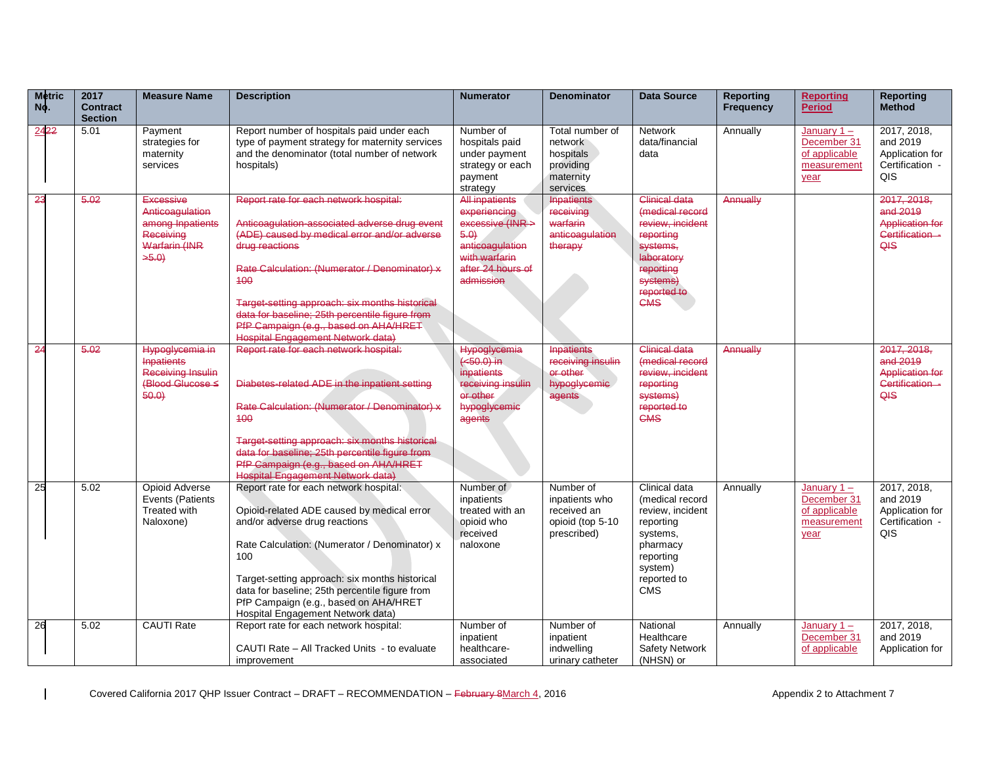| <b>Metric</b><br>No. | 2017<br><b>Contract</b><br><b>Section</b> | <b>Measure Name</b>                                                                          | <b>Description</b>                                                                                                                                                                                                                                                                                                                                                                                         | <b>Numerator</b>                                                                                                                       | <b>Denominator</b>                                                            | <b>Data Source</b>                                                                                                                                       | Reporting<br><b>Frequency</b> | <b>Reporting</b><br><b>Period</b>                                    | <b>Reporting</b><br><b>Method</b>                                           |
|----------------------|-------------------------------------------|----------------------------------------------------------------------------------------------|------------------------------------------------------------------------------------------------------------------------------------------------------------------------------------------------------------------------------------------------------------------------------------------------------------------------------------------------------------------------------------------------------------|----------------------------------------------------------------------------------------------------------------------------------------|-------------------------------------------------------------------------------|----------------------------------------------------------------------------------------------------------------------------------------------------------|-------------------------------|----------------------------------------------------------------------|-----------------------------------------------------------------------------|
| 2422                 | 5.01                                      | Payment<br>strategies for<br>maternity<br>services                                           | Report number of hospitals paid under each<br>type of payment strategy for maternity services<br>and the denominator (total number of network<br>hospitals)                                                                                                                                                                                                                                                | Number of<br>hospitals paid<br>under payment<br>strategy or each<br>payment<br>strategy                                                | Total number of<br>network<br>hospitals<br>providing<br>maternity<br>services | Network<br>data/financial<br>data                                                                                                                        | Annually                      | January $1 -$<br>December 31<br>of applicable<br>measurement<br>year | 2017, 2018,<br>and 2019<br>Application for<br>Certification -<br>QIS        |
| 23                   | 5.02                                      | Excessive<br>Anticoagulation<br>among Inpatients<br>Receiving<br><b>Warfarin (INR</b><br>5.0 | Report rate for each network hospital:<br>Anticoaqulation-associated adverse drug event<br>(ADE) caused by medical error and/or adverse<br>drug reactions<br>Rate Calculation: (Numerator / Denominator) x<br>400<br>Target-setting approach: six months historical<br>data for baseline; 25th percentile figure from<br>PfP Campaign (e.g., based on AHA/HRET<br><b>Hospital Engagement Network data)</b> | <b>All inpatients</b><br>experiencing<br>excessive (INR ><br>5.0<br>anticoagulation<br>with warfarin<br>after 24 hours of<br>admission | <b>Inpatients</b><br>receiving<br>warfarin<br>anticoagulation<br>therapy      | <b>Clinical data</b><br>(medical record<br>review, incident<br>reporting<br>systems,<br>laboratory<br>reporting<br>systems)<br>reported to<br><b>CMS</b> | Annually                      |                                                                      | 2017, 2018,<br>and 2019<br><b>Application for</b><br>Certification -<br>QIS |
| 24                   | 5.02                                      | Hypoglycemia in<br><b>Inpatients</b><br>Receiving Insulin<br>(Blood Glucose ≤<br>60.0        | Report rate for each network hospital:<br>Diabetes-related ADE in the inpatient setting<br>Rate Calculation: (Numerator / Denominator) x<br>400<br>Target-setting approach: six months historical<br>data for baseline: 25th percentile figure from<br>PfP Campaign (e.g., based on AHA/HRET<br><b>Hospital Engagement Network data)</b>                                                                   | <b>Hypoglycemia</b><br>$(+50.0)$ in<br>inpatients<br>receiving insulin<br>or other<br>hypoglycemic<br>agents                           | <b>Inpatients</b><br>receiving insulin<br>or other<br>hypoglycemic<br>agents  | <b>Clinical data</b><br>(medical record<br>review, incident<br>reporting<br>systems)<br>reported to<br><b>CMS</b>                                        | Annually                      |                                                                      | 2017, 2018,<br>and 2019<br><b>Application for</b><br>Certification -<br>QIS |
| 25                   | 5.02                                      | Opioid Adverse<br>Events (Patients<br>Treated with<br>Naloxone)                              | Report rate for each network hospital:<br>Opioid-related ADE caused by medical error<br>and/or adverse drug reactions<br>Rate Calculation: (Numerator / Denominator) x<br>100<br>Target-setting approach: six months historical<br>data for baseline; 25th percentile figure from<br>PfP Campaign (e.g., based on AHA/HRET<br>Hospital Engagement Network data)                                            | Number of<br>inpatients<br>treated with an<br>opioid who<br>received<br>naloxone                                                       | Number of<br>inpatients who<br>received an<br>opioid (top 5-10<br>prescribed) | Clinical data<br>(medical record<br>review, incident<br>reporting<br>systems.<br>pharmacy<br>reporting<br>system)<br>reported to<br><b>CMS</b>           | Annually                      | January $1 -$<br>December 31<br>of applicable<br>measurement<br>year | 2017, 2018,<br>and 2019<br>Application for<br>Certification -<br>QIS        |
| 26                   | 5.02                                      | <b>CAUTI Rate</b>                                                                            | Report rate for each network hospital:<br>CAUTI Rate - All Tracked Units - to evaluate<br>improvement                                                                                                                                                                                                                                                                                                      | Number of<br>inpatient<br>healthcare-<br>associated                                                                                    | Number of<br>inpatient<br>indwelling<br>urinary catheter                      | National<br>Healthcare<br><b>Safety Network</b><br>(NHSN) or                                                                                             | Annually                      | January $1 -$<br>December 31<br>of applicable                        | 2017, 2018,<br>and 2019<br>Application for                                  |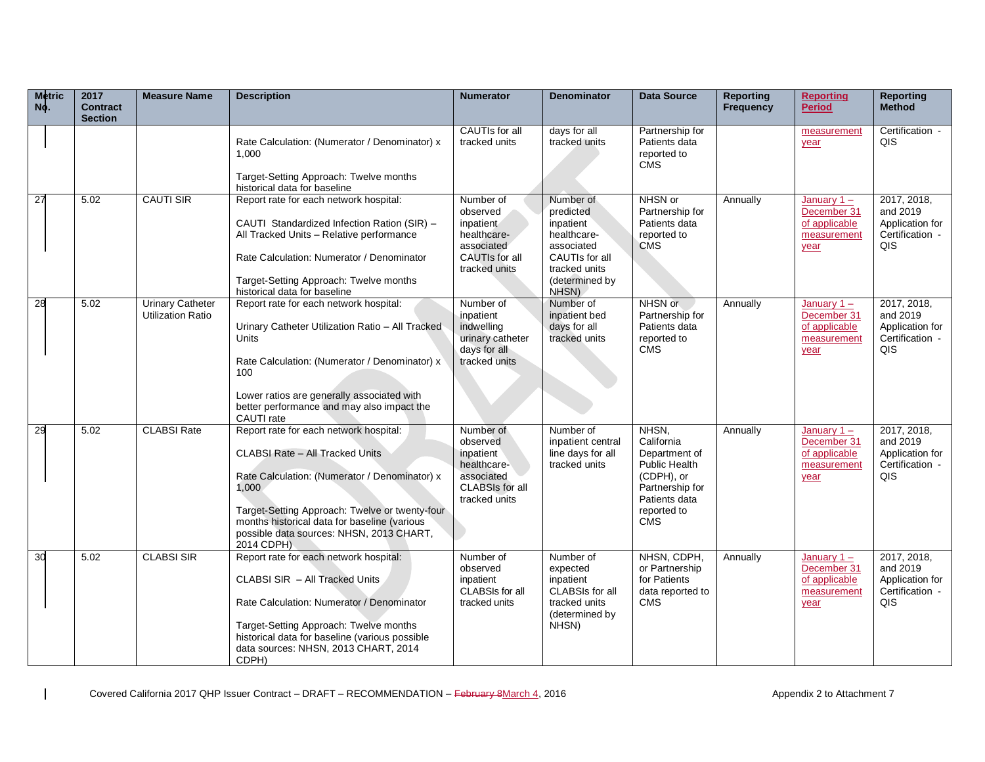| <b>Metric</b><br>No. | 2017<br><b>Contract</b><br><b>Section</b> | <b>Measure Name</b>                                 | <b>Description</b>                                                                                                                                                                                                                                                                                     | <b>Numerator</b>                                                                                           | <b>Denominator</b>                                                                                                             | <b>Data Source</b>                                                                                                                   | <b>Reporting</b><br><b>Frequency</b> | <b>Reporting</b><br><b>Period</b>                                    | <b>Reporting</b><br><b>Method</b>                                    |
|----------------------|-------------------------------------------|-----------------------------------------------------|--------------------------------------------------------------------------------------------------------------------------------------------------------------------------------------------------------------------------------------------------------------------------------------------------------|------------------------------------------------------------------------------------------------------------|--------------------------------------------------------------------------------------------------------------------------------|--------------------------------------------------------------------------------------------------------------------------------------|--------------------------------------|----------------------------------------------------------------------|----------------------------------------------------------------------|
|                      |                                           |                                                     | Rate Calculation: (Numerator / Denominator) x<br>1,000<br>Target-Setting Approach: Twelve months<br>historical data for baseline                                                                                                                                                                       | CAUTIs for all<br>tracked units                                                                            | days for all<br>tracked units                                                                                                  | Partnership for<br>Patients data<br>reported to<br><b>CMS</b>                                                                        |                                      | measurement<br>year                                                  | Certification -<br>QIS                                               |
| 27                   | 5.02                                      | <b>CAUTI SIR</b>                                    | Report rate for each network hospital:<br>CAUTI Standardized Infection Ration (SIR) -<br>All Tracked Units - Relative performance<br>Rate Calculation: Numerator / Denominator<br>Target-Setting Approach: Twelve months<br>historical data for baseline                                               | Number of<br>observed<br>inpatient<br>healthcare-<br>associated<br>CAUTIs for all<br>tracked units         | Number of<br>predicted<br>inpatient<br>healthcare-<br>associated<br>CAUTIs for all<br>tracked units<br>(determined by<br>NHSN) | NHSN or<br>Partnership for<br>Patients data<br>reported to<br><b>CMS</b>                                                             | Annually                             | January $1 -$<br>December 31<br>of applicable<br>measurement<br>year | 2017, 2018,<br>and 2019<br>Application for<br>Certification -<br>QIS |
| 28                   | 5.02                                      | <b>Urinary Catheter</b><br><b>Utilization Ratio</b> | Report rate for each network hospital:<br>Urinary Catheter Utilization Ratio - All Tracked<br>Units<br>Rate Calculation: (Numerator / Denominator) x<br>100<br>Lower ratios are generally associated with<br>better performance and may also impact the<br>CAUTI rate                                  | Number of<br>inpatient<br>indwelling<br>urinary catheter<br>days for all<br>tracked units                  | Number of<br>inpatient bed<br>days for all<br>tracked units                                                                    | NHSN or<br>Partnership for<br>Patients data<br>reported to<br><b>CMS</b>                                                             | Annually                             | January $1 -$<br>December 31<br>of applicable<br>measurement<br>year | 2017, 2018,<br>and 2019<br>Application for<br>Certification -<br>QIS |
| 29                   | 5.02                                      | <b>CLABSI Rate</b>                                  | Report rate for each network hospital:<br><b>CLABSI Rate - All Tracked Units</b><br>Rate Calculation: (Numerator / Denominator) x<br>1.000<br>Target-Setting Approach: Twelve or twenty-four<br>months historical data for baseline (various<br>possible data sources: NHSN, 2013 CHART,<br>2014 CDPH) | Number of<br>observed<br>inpatient<br>healthcare-<br>associated<br><b>CLABSIs for all</b><br>tracked units | Number of<br>inpatient central<br>line days for all<br>tracked units                                                           | NHSN,<br>California<br>Department of<br>Public Health<br>(CDPH), or<br>Partnership for<br>Patients data<br>reported to<br><b>CMS</b> | Annually                             | January $1 -$<br>December 31<br>of applicable<br>measurement<br>year | 2017, 2018,<br>and 2019<br>Application for<br>Certification -<br>QIS |
| 30                   | 5.02                                      | <b>CLABSI SIR</b>                                   | Report rate for each network hospital:<br>CLABSI SIR - All Tracked Units<br>Rate Calculation: Numerator / Denominator<br>Target-Setting Approach: Twelve months<br>historical data for baseline (various possible<br>data sources: NHSN, 2013 CHART, 2014<br>CDPH)                                     | Number of<br>observed<br>inpatient<br>CLABSIs for all<br>tracked units                                     | Number of<br>expected<br>inpatient<br>CLABSIs for all<br>tracked units<br>(determined by<br>NHSN)                              | NHSN, CDPH,<br>or Partnership<br>for Patients<br>data reported to<br><b>CMS</b>                                                      | Annually                             | January $1 -$<br>December 31<br>of applicable<br>measurement<br>year | 2017, 2018,<br>and 2019<br>Application for<br>Certification -<br>QIS |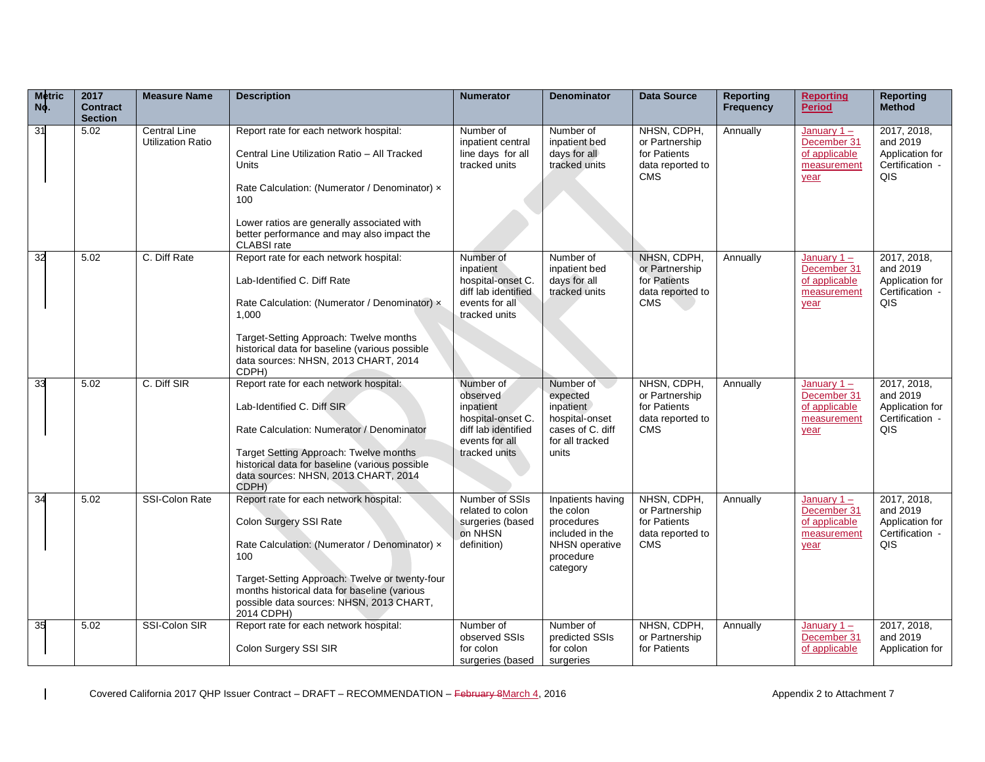| <b>Metric</b><br>No. | 2017<br><b>Contract</b><br><b>Section</b> | <b>Measure Name</b>                             | <b>Description</b>                                                                                                                                                                                                                                                                   | <b>Numerator</b>                                                                                                  | <b>Denominator</b>                                                                                         | <b>Data Source</b>                                                              | <b>Reporting</b><br><b>Frequency</b> | <b>Reporting</b><br><b>Period</b>                                    | <b>Reporting</b><br><b>Method</b>                                    |
|----------------------|-------------------------------------------|-------------------------------------------------|--------------------------------------------------------------------------------------------------------------------------------------------------------------------------------------------------------------------------------------------------------------------------------------|-------------------------------------------------------------------------------------------------------------------|------------------------------------------------------------------------------------------------------------|---------------------------------------------------------------------------------|--------------------------------------|----------------------------------------------------------------------|----------------------------------------------------------------------|
| 31                   | 5.02                                      | <b>Central Line</b><br><b>Utilization Ratio</b> | Report rate for each network hospital:<br>Central Line Utilization Ratio - All Tracked<br>Units<br>Rate Calculation: (Numerator / Denominator) x<br>100<br>Lower ratios are generally associated with<br>better performance and may also impact the<br><b>CLABSI</b> rate            | Number of<br>inpatient central<br>line days for all<br>tracked units                                              | Number of<br>inpatient bed<br>days for all<br>tracked units                                                | NHSN, CDPH,<br>or Partnership<br>for Patients<br>data reported to<br><b>CMS</b> | Annually                             | January $1 -$<br>December 31<br>of applicable<br>measurement<br>year | 2017, 2018,<br>and 2019<br>Application for<br>Certification -<br>QIS |
| 32                   | 5.02                                      | C. Diff Rate                                    | Report rate for each network hospital:<br>Lab-Identified C. Diff Rate<br>Rate Calculation: (Numerator / Denominator) x<br>1.000<br>Target-Setting Approach: Twelve months<br>historical data for baseline (various possible<br>data sources: NHSN, 2013 CHART, 2014<br>CDPH)         | Number of<br>inpatient<br>hospital-onset C.<br>diff lab identified<br>events for all<br>tracked units             | Number of<br>inpatient bed<br>days for all<br>tracked units                                                | NHSN, CDPH,<br>or Partnership<br>for Patients<br>data reported to<br><b>CMS</b> | Annually                             | January $1 -$<br>December 31<br>of applicable<br>measurement<br>year | 2017, 2018,<br>and 2019<br>Application for<br>Certification -<br>QIS |
| 33                   | 5.02                                      | C. Diff SIR                                     | Report rate for each network hospital:<br>Lab-Identified C. Diff SIR<br>Rate Calculation: Numerator / Denominator<br>Target Setting Approach: Twelve months<br>historical data for baseline (various possible<br>data sources: NHSN, 2013 CHART, 2014<br>CDPH)                       | Number of<br>observed<br>inpatient<br>hospital-onset C.<br>diff lab identified<br>events for all<br>tracked units | Number of<br>expected<br>inpatient<br>hospital-onset<br>cases of C. diff<br>for all tracked<br>units       | NHSN, CDPH,<br>or Partnership<br>for Patients<br>data reported to<br><b>CMS</b> | Annually                             | January $1 -$<br>December 31<br>of applicable<br>measurement<br>year | 2017, 2018,<br>and 2019<br>Application for<br>Certification -<br>QIS |
| 34                   | 5.02                                      | <b>SSI-Colon Rate</b>                           | Report rate for each network hospital:<br>Colon Surgery SSI Rate<br>Rate Calculation: (Numerator / Denominator) x<br>100<br>Target-Setting Approach: Twelve or twenty-four<br>months historical data for baseline (various<br>possible data sources: NHSN, 2013 CHART,<br>2014 CDPH) | Number of SSIs<br>related to colon<br>surgeries (based<br>on NHSN<br>definition)                                  | Inpatients having<br>the colon<br>procedures<br>included in the<br>NHSN operative<br>procedure<br>category | NHSN, CDPH,<br>or Partnership<br>for Patients<br>data reported to<br><b>CMS</b> | Annually                             | January $1 -$<br>December 31<br>of applicable<br>measurement<br>year | 2017, 2018,<br>and 2019<br>Application for<br>Certification -<br>QIS |
| 35                   | 5.02                                      | SSI-Colon SIR                                   | Report rate for each network hospital:<br>Colon Surgery SSI SIR                                                                                                                                                                                                                      | Number of<br>observed SSIs<br>for colon<br>surgeries (based                                                       | Number of<br>predicted SSIs<br>for colon<br>surgeries                                                      | NHSN, CDPH,<br>or Partnership<br>for Patients                                   | Annually                             | January $1 -$<br>December 31<br>of applicable                        | 2017, 2018,<br>and 2019<br>Application for                           |